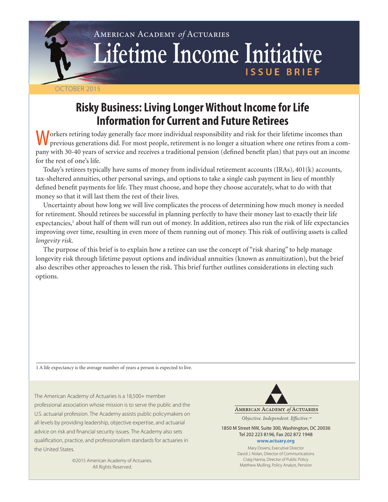# American Academy *of* Actuaries Lifetime Income Initiative **ISSUE BRIEF**

# October 2015

# **Risky Business: Living Longer Without Income for Life Information for Current and Future Retirees**

Workers retiring today generally face more individual responsibility and risk for their lifetime incomes than previous generations did. For most people, retirement is no longer a situation where one retires from a company with 30-40 years of service and receives a traditional pension (defined benefit plan) that pays out an income for the rest of one's life.

Today's retirees typically have sums of money from individual retirement accounts (IRAs), 401(k) accounts, tax-sheltered annuities, other personal savings, and options to take a single cash payment in lieu of monthly defined benefit payments for life. They must choose, and hope they choose accurately, what to do with that money so that it will last them the rest of their lives.

Uncertainty about how long we will live complicates the process of determining how much money is needed for retirement. Should retirees be successful in planning perfectly to have their money last to exactly their life expectancies,<sup>1</sup> about half of them will run out of money. In addition, retirees also run the risk of life expectancies improving over time, resulting in even more of them running out of money. This risk of outliving assets is called *longevity risk*.

The purpose of this brief is to explain how a retiree can use the concept of "risk sharing" to help manage longevity risk through lifetime payout options and individual annuities (known as annuitization), but the brief also describes other approaches to lessen the risk. This brief further outlines considerations in electing such options.

1 A life expectancy is the average number of years a person is expected to live.

The American Academy of Actuaries is a 18,500+ member professional association whose mission is to serve the public and the U.S. actuarial profession. The Academy assists public policymakers on all levels by providing leadership, objective expertise, and actuarial advice on risk and financial security issues. The Academy also sets qualification, practice, and professionalism standards for actuaries in the United States.

> ©2015 American Academy of Actuaries. All Rights Reserved.

AMERICAN ACADEMY of ACTUARIES

Objective. Independent. Effective.™

1850 M Street NW, Suite 300, Washington, DC 20036 Tel 202 223 8196, Fax 202 872 1948 **www.actuary.org**

> Mary Downs, Executive Director David J. Nolan, Director of Communications Craig Hanna, Director of Public Policy Matthew Mulling, Policy Analyst, Pension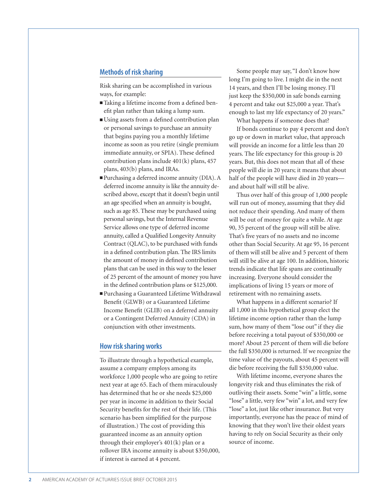### **Methods of risk sharing**

Risk sharing can be accomplished in various ways, for example:

- Taking a lifetime income from a defined benefit plan rather than taking a lump sum.
- Using assets from a defined contribution plan or personal savings to purchase an annuity that begins paying you a monthly lifetime income as soon as you retire (single premium immediate annuity, or SPIA). These defined contribution plans include 401(k) plans, 457 plans, 403(b) plans, and IRAs.
- <sup>n</sup>Purchasing a deferred income annuity (DIA). A deferred income annuity is like the annuity described above, except that it doesn't begin until an age specified when an annuity is bought, such as age 85. These may be purchased using personal savings, but the Internal Revenue Service allows one type of deferred income annuity, called a Qualified Longevity Annuity Contract (QLAC), to be purchased with funds in a defined contribution plan. The IRS limits the amount of money in defined contribution plans that can be used in this way to the lesser of 25 percent of the amount of money you have in the defined contribution plans or \$125,000.
- <sup>n</sup>Purchasing a Guaranteed Lifetime Withdrawal Benefit (GLWB) or a Guaranteed Lifetime Income Benefit (GLIB) on a deferred annuity or a Contingent Deferred Annuity (CDA) in conjunction with other investments.

#### **How risk sharing works**

To illustrate through a hypothetical example, assume a company employs among its workforce 1,000 people who are going to retire next year at age 65. Each of them miraculously has determined that he or she needs \$25,000 per year in income in addition to their Social Security benefits for the rest of their life. (This scenario has been simplified for the purpose of illustration.) The cost of providing this guaranteed income as an annuity option through their employer's 401(k) plan or a rollover IRA income annuity is about \$350,000, if interest is earned at 4 percent.

Some people may say, "I don't know how long I'm going to live. I might die in the next 14 years, and then I'll be losing money. I'll just keep the \$350,000 in safe bonds earning 4 percent and take out \$25,000 a year. That's enough to last my life expectancy of 20 years."

What happens if someone does that?

If bonds continue to pay 4 percent and don't go up or down in market value, that approach will provide an income for a little less than 20 years. The life expectancy for this group is 20 years. But, this does not mean that all of these people will die in 20 years; it means that about half of the people will have died in 20 years and about half will still be alive.

Thus over half of this group of 1,000 people will run out of money, assuming that they did not reduce their spending. And many of them will be out of money for quite a while. At age 90, 35 percent of the group will still be alive. That's five years of no assets and no income other than Social Security. At age 95, 16 percent of them will still be alive and 5 percent of them will still be alive at age 100. In addition, historic trends indicate that life spans are continually increasing. Everyone should consider the implications of living 15 years or more of retirement with no remaining assets.

What happens in a different scenario? If all 1,000 in this hypothetical group elect the lifetime income option rather than the lump sum, how many of them "lose out" if they die before receiving a total payout of \$350,000 or more? About 25 percent of them will die before the full \$350,000 is returned. If we recognize the time value of the payouts, about 45 percent will die before receiving the full \$350,000 value.

With lifetime income, everyone shares the longevity risk and thus eliminates the risk of outliving their assets. Some "win" a little, some "lose" a little, very few "win" a lot, and very few "lose" a lot, just like other insurance. But very importantly, everyone has the peace of mind of knowing that they won't live their oldest years having to rely on Social Security as their only source of income.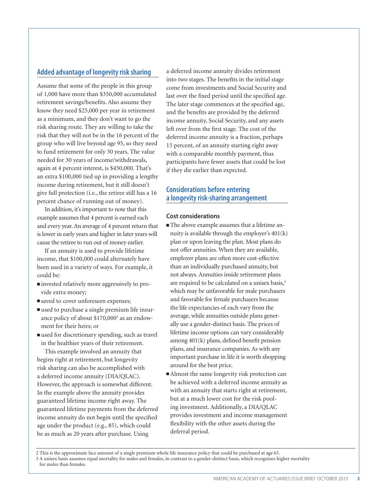# **Added advantage of longevity risk sharing**

Assume that some of the people in this group of 1,000 have more than \$350,000 accumulated retirement savings/benefits. Also assume they know they need \$25,000 per year in retirement as a minimum, and they don't want to go the risk sharing route. They are willing to take the risk that they will not be in the 16 percent of the group who will live beyond age 95, so they need to fund retirement for only 30 years. The value needed for 30 years of income/withdrawals, again at 4 percent interest, is \$450,000. That's an extra \$100,000 tied up in providing a lengthy income during retirement, but it still doesn't give full protection (i.e., the retiree still has a 16 percent chance of running out of money).

In addition, it's important to note that this example assumes that 4 percent is earned each and every year. An average of 4 percent return that is lower in early years and higher in later years will cause the retiree to run out of money earlier.

If an annuity is used to provide lifetime income, that \$100,000 could alternately have been used in a variety of ways. For example, it could be:

- invested relatively more aggressively to provide extra money;
- saved to cover unforeseen expenses;
- used to purchase a single premium life insurance policy of about \$170,000<sup>2</sup> as an endowment for their heirs; or
- $\blacksquare$  used for discretionary spending, such as travel in the healthier years of their retirement.

This example involved an annuity that begins right at retirement, but longevity risk sharing can also be accomplished with a deferred income annuity (DIA/QLAC). However, the approach is somewhat different. In the example above the annuity provides guaranteed lifetime income right away. The guaranteed lifetime payments from the deferred income annuity do not begin until the specified age under the product (e.g., 85), which could be as much as 20 years after purchase. Using

a deferred income annuity divides retirement into two stages. The benefits in the initial stage come from investments and Social Security and last over the fixed period until the specified age. The later stage commences at the specified age, and the benefits are provided by the deferred income annuity, Social Security, and any assets left over from the first stage. The cost of the deferred income annuity is a fraction, perhaps 15 percent, of an annuity starting right away with a comparable monthly payment, thus participants have fewer assets that could be lost if they die earlier than expected.

# **Considerations before entering a longevity risk-sharing arrangement**

#### **Cost considerations**

- n The above example assumes that a lifetime annuity is available through the employer's 401(k) plan or upon leaving the plan. Most plans do not offer annuities. When they are available, employer plans are often more cost-effective than an individually purchased annuity, but not always. Annuities inside retirement plans are required to be calculated on a unisex basis,<sup>3</sup> which may be unfavorable for male purchasers and favorable for female purchasers because the life expectancies of each vary from the average, while annuities outside plans generally use a gender-distinct basis. The prices of lifetime income options can vary considerably among 401(k) plans, defined benefit pension plans, and insurance companies. As with any important purchase in life it is worth shopping around for the best price.
- $\blacksquare$  Almost the same longevity risk protection can be achieved with a deferred income annuity as with an annuity that starts right at retirement, but at a much lower cost for the risk pooling investment. Additionally, a DIA/QLAC provides investment and income management flexibility with the other assets during the deferral period.

2 This is the approximate face amount of a single premium whole life insurance policy that could be purchased at age 65. 3 A unisex basis assumes equal mortality for males and females, in contrast to a gender-distinct basis, which recognizes higher mortality

for males than females.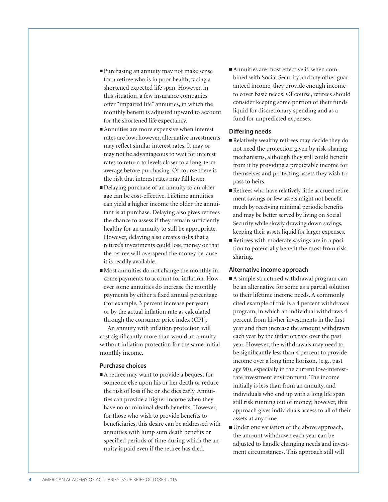- <sup>n</sup>Purchasing an annuity may not make sense for a retiree who is in poor health, facing a shortened expected life span. However, in this situation, a few insurance companies offer "impaired life" annuities, in which the monthly benefit is adjusted upward to account for the shortened life expectancy.
- Annuities are more expensive when interest rates are low; however, alternative investments may reflect similar interest rates. It may or may not be advantageous to wait for interest rates to return to levels closer to a long-term average before purchasing. Of course there is the risk that interest rates may fall lower.
- <sup>n</sup>Delaying purchase of an annuity to an older age can be cost-effective. Lifetime annuities can yield a higher income the older the annuitant is at purchase. Delaying also gives retirees the chance to assess if they remain sufficiently healthy for an annuity to still be appropriate. However, delaying also creates risks that a retiree's investments could lose money or that the retiree will overspend the money because it is readily available.
- n Most annuities do not change the monthly income payments to account for inflation. However some annuities do increase the monthly payments by either a fixed annual percentage (for example, 3 percent increase per year) or by the actual inflation rate as calculated through the consumer price index (CPI).

An annuity with inflation protection will cost significantly more than would an annuity without inflation protection for the same initial monthly income.

#### **Purchase choices**

 $\blacksquare$  A retiree may want to provide a bequest for someone else upon his or her death or reduce the risk of loss if he or she dies early. Annuities can provide a higher income when they have no or minimal death benefits. However, for those who wish to provide benefits to beneficiaries, this desire can be addressed with annuities with lump sum death benefits or specified periods of time during which the annuity is paid even if the retiree has died.

■ Annuities are most effective if, when combined with Social Security and any other guaranteed income, they provide enough income to cover basic needs. Of course, retirees should consider keeping some portion of their funds liquid for discretionary spending and as a fund for unpredicted expenses.

#### **Differing needs**

- $\blacksquare$  Relatively wealthy retirees may decide they do not need the protection given by risk-sharing mechanisms, although they still could benefit from it by providing a predictable income for themselves and protecting assets they wish to pass to heirs.
- n Retirees who have relatively little accrued retirement savings or few assets might not benefit much by receiving minimal periodic benefits and may be better served by living on Social Security while slowly drawing down savings, keeping their assets liquid for larger expenses.
- n Retirees with moderate savings are in a position to potentially benefit the most from risk sharing.

#### **Alternative income approach**

- A simple structured withdrawal program can be an alternative for some as a partial solution to their lifetime income needs. A commonly cited example of this is a 4 percent withdrawal program, in which an individual withdraws 4 percent from his/her investments in the first year and then increase the amount withdrawn each year by the inflation rate over the past year. However, the withdrawals may need to be significantly less than 4 percent to provide income over a long time horizon, (e.g., past age 90), especially in the current low-interestrate investment environment. The income initially is less than from an annuity, and individuals who end up with a long life span still risk running out of money; however, this approach gives individuals access to all of their assets at any time.
- <sup>n</sup>Under one variation of the above approach, the amount withdrawn each year can be adjusted to handle changing needs and investment circumstances. This approach still will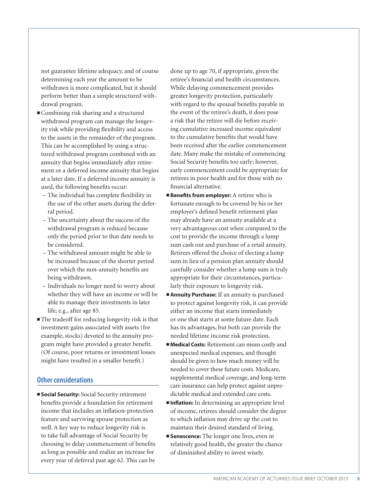not guarantee lifetime adequacy, and of course determining each year the amount to be withdrawn is more complicated, but it should perform better than a simple structured withdrawal program.

- <sup>n</sup>Combining risk sharing and a structured withdrawal program can manage the longevity risk while providing flexibility and access to the assets in the remainder of the program. This can be accomplished by using a structured withdrawal program combined with an annuity that begins immediately after retirement or a deferred income annuity that begins at a later date. If a deferred income annuity is used, the following benefits occur:
	- The individual has complete flexibility in the use of the other assets during the deferral period.
	- The uncertainty about the success of the withdrawal program is reduced because only the period prior to that date needs to be considered.
	- The withdrawal amount might be able to be increased because of the shorter period over which the non-annuity benefits are being withdrawn.
	- Individuals no longer need to worry about whether they will have an income or will be able to manage their investments in later life; e.g., after age 85.
- $\blacksquare$  The tradeoff for reducing longevity risk is that investment gains associated with assets (for example, stocks) devoted to the annuity program might have provided a greater benefit. (Of course, poor returns or investment losses might have resulted in a smaller benefit.)

# **Other considerations**

 $\blacksquare$  **Social Security:** Social Security retirement benefits provide a foundation for retirement income that includes an inflation-protection feature and surviving spouse protection as well. A key way to reduce longevity risk is to take full advantage of Social Security by choosing to delay commencement of benefits as long as possible and realize an increase for every year of deferral past age 62. This can be

done up to age 70, if appropriate, given the retiree's financial and health circumstances. While delaying commencement provides greater longevity protection, particularly with regard to the spousal benefits payable in the event of the retiree's death, it does pose a risk that the retiree will die before receiving cumulative increased income equivalent to the cumulative benefits that would have been received after the earlier commencement date. Many make the mistake of commencing Social Security benefits too early; however, early commencement could be appropriate for retirees in poor health and for those with no financial alternative.

- **Example 3 Benefits from employer:** A retiree who is fortunate enough to be covered by his or her employer's defined benefit retirement plan may already have an annuity available at a very advantageous cost when compared to the cost to provide the income through a lump sum cash out and purchase of a retail annuity. Retirees offered the choice of electing a lump sum in lieu of a pension plan annuity should carefully consider whether a lump sum is truly appropriate for their circumstances, particularly their exposure to longevity risk.
- **Annuity Purchase:** If an annuity is purchased to protect against longevity risk, it can provide either an income that starts immediately or one that starts at some future date. Each has its advantages, but both can provide the needed lifetime income risk protection.
- **Medical Costs:** Retirement can mean costly and unexpected medical expenses, and thought should be given to how much money will be needed to cover these future costs. Medicare, supplemental medical coverage, and long-term care insurance can help protect against unpredictable medical and extended care costs.
- $\blacksquare$ **Inflation:** In determining an appropriate level of income, retirees should consider the degree to which inflation may drive up the cost to maintain their desired standard of living.
- **Exercise:** The longer one lives, even in relatively good health, the greater the chance of diminished ability to invest wisely.